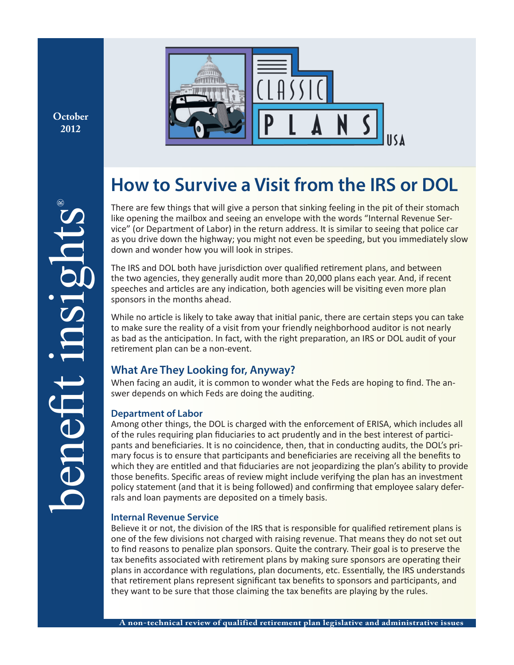**October 2012**



# **How to Survive a Visit from the IRS or DOL**

There are few things that will give a person that sinking feeling in the pit of their stomach like opening the mailbox and seeing an envelope with the words "Internal Revenue Service" (or Department of Labor) in the return address. It is similar to seeing that police car as you drive down the highway; you might not even be speeding, but you immediately slow down and wonder how you will look in stripes.

The IRS and DOL both have jurisdiction over qualified retirement plans, and between the two agencies, they generally audit more than 20,000 plans each year. And, if recent speeches and articles are any indication, both agencies will be visiting even more plan sponsors in the months ahead.

While no article is likely to take away that initial panic, there are certain steps you can take to make sure the reality of a visit from your friendly neighborhood auditor is not nearly as bad as the anticipation. In fact, with the right preparation, an IRS or DOL audit of your retirement plan can be a non-event.

# **What Are They Looking for, Anyway?**

When facing an audit, it is common to wonder what the Feds are hoping to find. The answer depends on which Feds are doing the auditing.

## **Department of Labor**

Among other things, the DOL is charged with the enforcement of ERISA, which includes all of the rules requiring plan fiduciaries to act prudently and in the best interest of participants and beneficiaries. It is no coincidence, then, that in conducting audits, the DOL's primary focus is to ensure that participants and beneficiaries are receiving all the benefits to which they are entitled and that fiduciaries are not jeopardizing the plan's ability to provide those benefits. Specific areas of review might include verifying the plan has an investment policy statement (and that it is being followed) and confirming that employee salary deferrals and loan payments are deposited on a timely basis.

## **Internal Revenue Service**

Believe it or not, the division of the IRS that is responsible for qualified retirement plans is one of the few divisions not charged with raising revenue. That means they do not set out to find reasons to penalize plan sponsors. Quite the contrary. Their goal is to preserve the tax benefits associated with retirement plans by making sure sponsors are operating their plans in accordance with regulations, plan documents, etc. Essentially, the IRS understands that retirement plans represent significant tax benefits to sponsors and participants, and they want to be sure that those claiming the tax benefits are playing by the rules.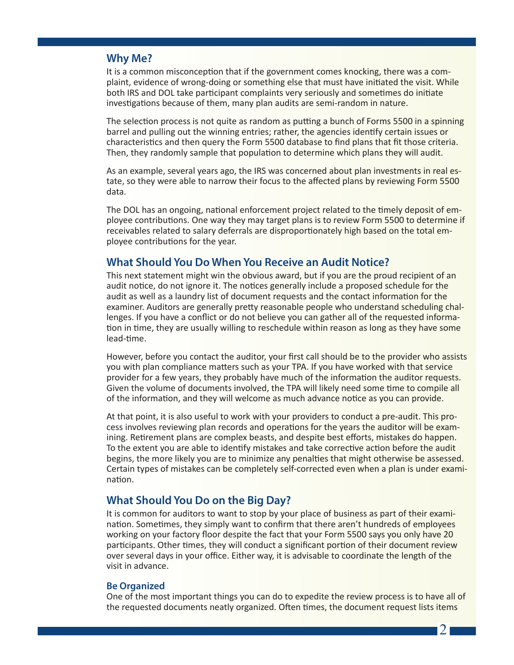## **Why Me?**

It is a common misconception that if the government comes knocking, there was a complaint, evidence of wrong-doing or something else that must have initiated the visit. While both IRS and DOL take participant complaints very seriously and sometimes do initiate investigations because of them, many plan audits are semi-random in nature.

The selection process is not quite as random as putting a bunch of Forms 5500 in a spinning barrel and pulling out the winning entries; rather, the agencies identify certain issues or characteristics and then query the Form 5500 database to find plans that fit those criteria. Then, they randomly sample that population to determine which plans they will audit.

As an example, several years ago, the IRS was concerned about plan investments in real estate, so they were able to narrow their focus to the affected plans by reviewing Form 5500 data.

The DOL has an ongoing, national enforcement project related to the timely deposit of employee contributions. One way they may target plans is to review Form 5500 to determine if receivables related to salary deferrals are disproportionately high based on the total employee contributions for the year.

## **What Should You Do When You Receive an Audit Notice?**

This next statement might win the obvious award, but if you are the proud recipient of an audit notice, do not ignore it. The notices generally include a proposed schedule for the audit as well as a laundry list of document requests and the contact information for the examiner. Auditors are generally pretty reasonable people who understand scheduling challenges. If you have a conflict or do not believe you can gather all of the requested information in time, they are usually willing to reschedule within reason as long as they have some lead-time.

However, before you contact the auditor, your first call should be to the provider who assists you with plan compliance matters such as your TPA. If you have worked with that service provider for a few years, they probably have much of the information the auditor requests. Given the volume of documents involved, the TPA will likely need some time to compile all of the information, and they will welcome as much advance notice as you can provide.

At that point, it is also useful to work with your providers to conduct a pre-audit. This process involves reviewing plan records and operations for the years the auditor will be examining. Retirement plans are complex beasts, and despite best efforts, mistakes do happen. To the extent you are able to identify mistakes and take corrective action before the audit begins, the more likely you are to minimize any penalties that might otherwise be assessed. Certain types of mistakes can be completely self-corrected even when a plan is under examination.

## **What Should You Do on the Big Day?**

It is common for auditors to want to stop by your place of business as part of their examination. Sometimes, they simply want to confirm that there aren't hundreds of employees working on your factory floor despite the fact that your Form 5500 says you only have 20 participants. Other times, they will conduct a significant portion of their document review over several days in your office. Either way, it is advisable to coordinate the length of the visit in advance.

#### **Be Organized**

One of the most important things you can do to expedite the review process is to have all of the requested documents neatly organized. Often times, the document request lists items

 $21$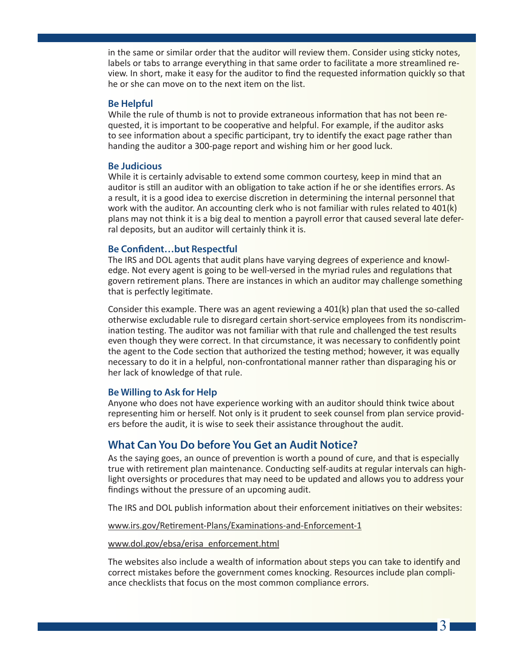in the same or similar order that the auditor will review them. Consider using sticky notes, labels or tabs to arrange everything in that same order to facilitate a more streamlined review. In short, make it easy for the auditor to find the requested information quickly so that he or she can move on to the next item on the list.

#### **Be Helpful**

While the rule of thumb is not to provide extraneous information that has not been requested, it is important to be cooperative and helpful. For example, if the auditor asks to see information about a specific participant, try to identify the exact page rather than handing the auditor a 300-page report and wishing him or her good luck.

#### **Be Judicious**

While it is certainly advisable to extend some common courtesy, keep in mind that an auditor is still an auditor with an obligation to take action if he or she identifies errors. As a result, it is a good idea to exercise discretion in determining the internal personnel that work with the auditor. An accounting clerk who is not familiar with rules related to 401(k) plans may not think it is a big deal to mention a payroll error that caused several late deferral deposits, but an auditor will certainly think it is.

#### **Be Confident…but Respectful**

The IRS and DOL agents that audit plans have varying degrees of experience and knowledge. Not every agent is going to be well-versed in the myriad rules and regulations that govern retirement plans. There are instances in which an auditor may challenge something that is perfectly legitimate.

Consider this example. There was an agent reviewing a 401(k) plan that used the so-called otherwise excludable rule to disregard certain short-service employees from its nondiscrimination testing. The auditor was not familiar with that rule and challenged the test results even though they were correct. In that circumstance, it was necessary to confidently point the agent to the Code section that authorized the testing method; however, it was equally necessary to do it in a helpful, non-confrontational manner rather than disparaging his or her lack of knowledge of that rule.

#### **Be Willing to Ask for Help**

Anyone who does not have experience working with an auditor should think twice about representing him or herself. Not only is it prudent to seek counsel from plan service providers before the audit, it is wise to seek their assistance throughout the audit.

## **What Can You Do before You Get an Audit Notice?**

As the saying goes, an ounce of prevention is worth a pound of cure, and that is especially true with retirement plan maintenance. Conducting self-audits at regular intervals can highlight oversights or procedures that may need to be updated and allows you to address your findings without the pressure of an upcoming audit.

The IRS and DOL publish information about their enforcement initiatives on their websites:

[www.irs.gov/Retirement-Plans/Examinations-and-Enforcement-1](http://www.irs.gov/Retirement-Plans/Examinations-and-Enforcement-1)

[www.dol.gov/ebsa/erisa\\_enforcement.html](www.dol.gov/ebsa/erisa_enforcement.html)

The websites also include a wealth of information about steps you can take to identify and correct mistakes before the government comes knocking. Resources include plan compliance checklists that focus on the most common compliance errors.

3